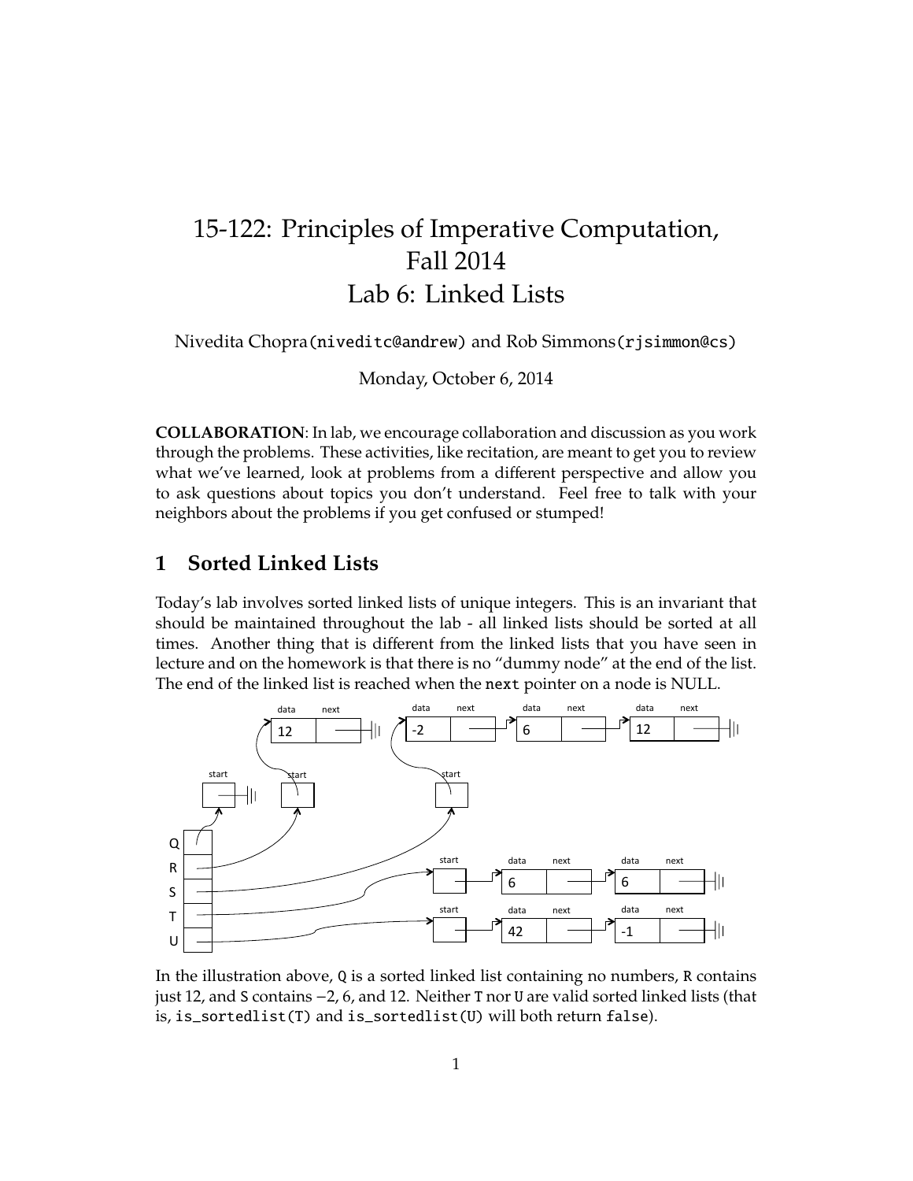## 15-122: Principles of Imperative Computation, Fall 2014 Lab 6: Linked Lists

Nivedita Chopra(niveditc@andrew) and Rob Simmons(rjsimmon@cs)

Monday, October 6, 2014

**COLLABORATION**: In lab, we encourage collaboration and discussion as you work through the problems. These activities, like recitation, are meant to get you to review what we've learned, look at problems from a different perspective and allow you to ask questions about topics you don't understand. Feel free to talk with your neighbors about the problems if you get confused or stumped!

## **1 Sorted Linked Lists**

Today's lab involves sorted linked lists of unique integers. This is an invariant that should be maintained throughout the lab - all linked lists should be sorted at all times. Another thing that is different from the linked lists that you have seen in lecture and on the homework is that there is no "dummy node" at the end of the list. The end of the linked list is reached when the next pointer on a node is NULL.



In the illustration above, Q is a sorted linked list containing no numbers, R contains just 12, and S contains −2, 6, and 12. Neither T nor U are valid sorted linked lists (that is, is\_sortedlist(T) and is\_sortedlist(U) will both return false).